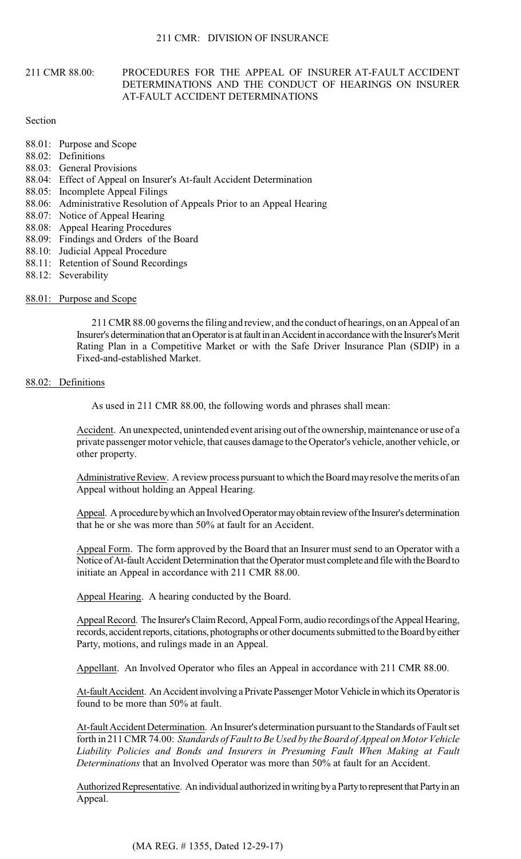## 211 CMR 88.00: PROCEDURES FOR THE APPEAL OF INSURER AT-FAULT ACCIDENT DETERMINATIONS AND THE CONDUCT OF HEARINGS ON INSURER AT-FAULT ACCIDENT DETERMINATIONS

## Section

- 88.01: Purpose and Scope
- 88.02: Definitions
- 88.03: General Provisions
- 88.04: Effect of Appeal on Insurer's At-fault Accident Determination
- 88.05: Incomplete Appeal Filings
- 88.06: Administrative Resolution of Appeals Prior to an Appeal Hearing
- 88.07: Notice of Appeal Hearing
- 88.08: Appeal Hearing Procedures
- 88.09: Findings and Orders of the Board
- 88.10: Judicial Appeal Procedure
- 88.11: Retention of Sound Recordings
- 88.12: Severability
- 88.01: Purpose and Scope

211 CMR 88.00 governs the filing and review, and the conduct of hearings, on an Appeal of an Insurer's determination that an Operator is at fault in an Accident in accordance with the Insurer's Merit Rating Plan in a Competitive Market or with the Safe Driver Insurance Plan (SDIP) in a Fixed-and-established Market.

# 88.02: Definitions

As used in 211 CMR 88.00, the following words and phrases shall mean:

Accident. An unexpected, unintended event arising out of the ownership, maintenance or use of a private passenger motor vehicle, that causes damage to the Operator's vehicle, another vehicle, or other property.

Administrative Review. A review process pursuant to which the Board may resolve the merits of an Appeal without holding an Appeal Hearing.

Appeal. A procedure by which an Involved Operator may obtain review of the Insurer's determination that he or she was more than 50% at fault for an Accident.

Appeal Form. The form approved by the Board that an Insurer must send to an Operator with a Notice of At-fault Accident Determination that the Operator must complete and file with the Board to initiate an Appeal in accordance with 211 CMR 88.00.

Appeal Hearing. A hearing conducted by the Board.

Appeal Record. The Insurer's Claim Record, Appeal Form, audio recordings of the Appeal Hearing, records, accident reports, citations, photographs or other documents submitted to the Board by either Party, motions, and rulings made in an Appeal.

Appellant. An Involved Operator who files an Appeal in accordance with 211 CMR 88.00.

At-fault Accident. An Accident involving a Private Passenger Motor Vehicle in which its Operator is found to be more than 50% at fault.

At-fault Accident Determination. An Insurer's determination pursuant to the Standards of Fault set forth in 211 CMR 74.00: *Standards of Fault to Be Used by the Board of Appeal on Motor Vehicle Liability Policies and Bonds and Insurers in Presuming Fault When Making at Fault Determinations* that an Involved Operator was more than 50% at fault for an Accident.

Authorized Representative. An individual authorized in writing by a Party to represent that Party in an Appeal.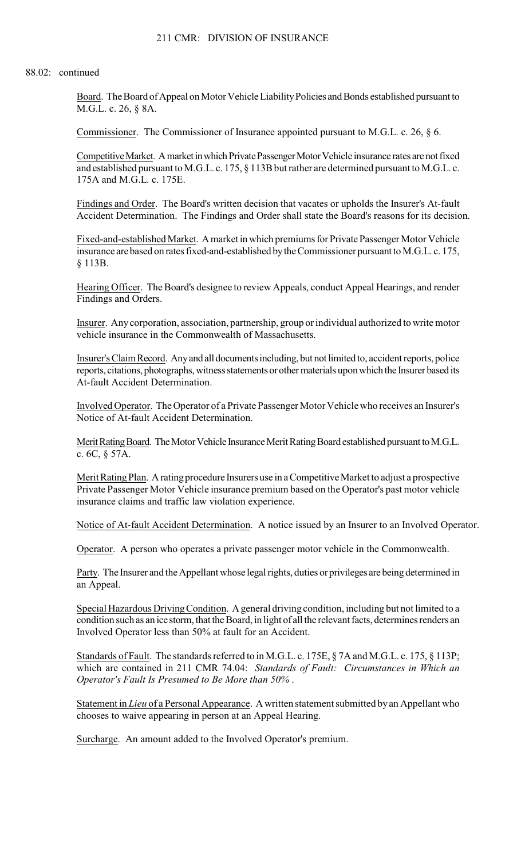#### 88.02: continued

Board. The Board of Appeal on Motor Vehicle Liability Policies and Bonds established pursuant to M.G.L. c. 26, § 8A.

Commissioner. The Commissioner of Insurance appointed pursuant to M.G.L. c. 26, § 6.

Competitive Market. A market in which Private Passenger Motor Vehicle insurance rates are not fixed and established pursuant to M.G.L. c. 175, § 113B but rather are determined pursuant to M.G.L. c. 175A and M.G.L. c. 175E.

 Findings and Order. The Board's written decision that vacates or upholds the Insurer's At-fault Accident Determination. The Findings and Order shall state the Board's reasons for its decision.

Fixed-and-established Market. A market in which premiums for Private Passenger Motor Vehicle insurance are based on rates fixed-and-established by the Commissioner pursuant to M.G.L. c. 175, § 113B.

Hearing Officer. The Board's designee to review Appeals, conduct Appeal Hearings, and render Findings and Orders.

Insurer. Any corporation, association, partnership, group or individual authorized to write motor vehicle insurance in the Commonwealth of Massachusetts.

Insurer's Claim Record. Any and all documents including, but not limited to, accident reports, police reports, citations, photographs, witness statements or other materials upon which the Insurer based its At-fault Accident Determination.

Involved Operator. The Operator of a Private Passenger Motor Vehicle who receives an Insurer's Notice of At-fault Accident Determination.

Merit Rating Board. The Motor Vehicle Insurance Merit Rating Board established pursuant to M.G.L. c. 6C, § 57A.

Merit Rating Plan. A rating procedure Insurers use in a Competitive Market to adjust a prospective Private Passenger Motor Vehicle insurance premium based on the Operator's past motor vehicle insurance claims and traffic law violation experience.

Notice of At-fault Accident Determination. A notice issued by an Insurer to an Involved Operator.

Operator. A person who operates a private passenger motor vehicle in the Commonwealth.

Party. The Insurer and the Appellant whose legal rights, duties or privileges are being determined in an Appeal.

Special Hazardous Driving Condition. A general driving condition, including but not limited to a condition such as an ice storm, that the Board, in light of all the relevant facts, determines renders an Involved Operator less than 50% at fault for an Accident.

Standards of Fault. The standards referred to in M.G.L. c. 175E, § 7A and M.G.L. c. 175, § 113P; which are contained in 211 CMR 74.04: *Standards of Fault: Circumstances in Which an Operator's Fault Is Presumed to Be More than 50%* .

Statement in *Lieu* of a Personal Appearance. A written statement submitted by an Appellant who chooses to waive appearing in person at an Appeal Hearing.

Surcharge. An amount added to the Involved Operator's premium.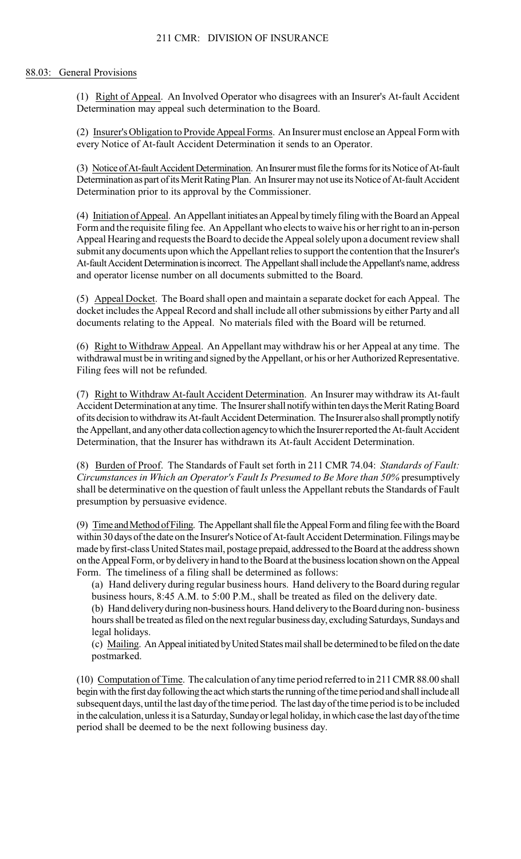## 88.03: General Provisions

(1) Right of Appeal. An Involved Operator who disagrees with an Insurer's At-fault Accident Determination may appeal such determination to the Board.

(2) Insurer's Obligation to Provide Appeal Forms. An Insurer must enclose an Appeal Form with every Notice of At-fault Accident Determination it sends to an Operator.

(3) Notice of At-fault Accident Determination. An Insurer must file the forms for its Notice of At-fault Determination as part of its Merit Rating Plan. An Insurer may not use its Notice of At-fault Accident Determination prior to its approval by the Commissioner.

(4) Initiation of Appeal. An Appellant initiates an Appeal by timely filing with the Board an Appeal Form and the requisite filing fee. An Appellant who elects to waive his or her right to an in-person Appeal Hearing and requests the Board to decide the Appeal solely upon a document review shall submit any documents upon which the Appellant relies to support the contention that the Insurer's At-fault Accident Determination is incorrect. The Appellant shall include the Appellant's name, address and operator license number on all documents submitted to the Board.

(5) Appeal Docket. The Board shall open and maintain a separate docket for each Appeal. The docket includes the Appeal Record and shall include all other submissions by either Party and all documents relating to the Appeal. No materials filed with the Board will be returned.

(6) Right to Withdraw Appeal. An Appellant may withdraw his or her Appeal at any time. The withdrawal must be in writing and signed by the Appellant, or his or her Authorized Representative. Filing fees will not be refunded.

 (7) Right to Withdraw At-fault Accident Determination. An Insurer may withdraw its At-fault Accident Determination at any time. The Insurer shall notify within ten days the Merit Rating Board of its decision to withdraw its At-fault Accident Determination. The Insurer also shall promptly notify the Appellant, and any other data collection agency to which the Insurer reported the At-fault Accident Determination, that the Insurer has withdrawn its At-fault Accident Determination.

 shall be determinative on the question of fault unless the Appellant rebuts the Standards of Fault (8) Burden of Proof. The Standards of Fault set forth in 211 CMR 74.04: *Standards of Fault: Circumstances in Which an Operator's Fault Is Presumed to Be More than 50%* presumptively presumption by persuasive evidence.

(9) Time and Method of Filing. The Appellant shall file the Appeal Form and filing fee with the Board within 30 days of the date on the Insurer's Notice of At-fault Accident Determination. Filings may be made by first-class United States mail, postage prepaid, addressed to the Board at the address shown on the Appeal Form, or by delivery in hand to the Board at the business location shown on the Appeal Form. The timeliness of a filing shall be determined as follows:

(a) Hand delivery during regular business hours. Hand delivery to the Board during regular business hours, 8:45 A.M. to 5:00 P.M., shall be treated as filed on the delivery date.

(b) Hand delivery during non-business hours. Hand delivery to the Board during non- business hours shall be treated as filed on the next regular business day, excluding Saturdays, Sundays and legal holidays.

(c) Mailing. An Appeal initiated by United States mail shall be determined to be filed on the date postmarked.

(10) Computation of Time. The calculation of any time period referred to in 211 CMR 88.00 shall begin with the first day following the act which starts the running of the time period and shall include all subsequent days, until the last day of the time period. The last day of the time period is to be included in the calculation, unless it is a Saturday, Sunday or legal holiday, in which case the last day of the time period shall be deemed to be the next following business day.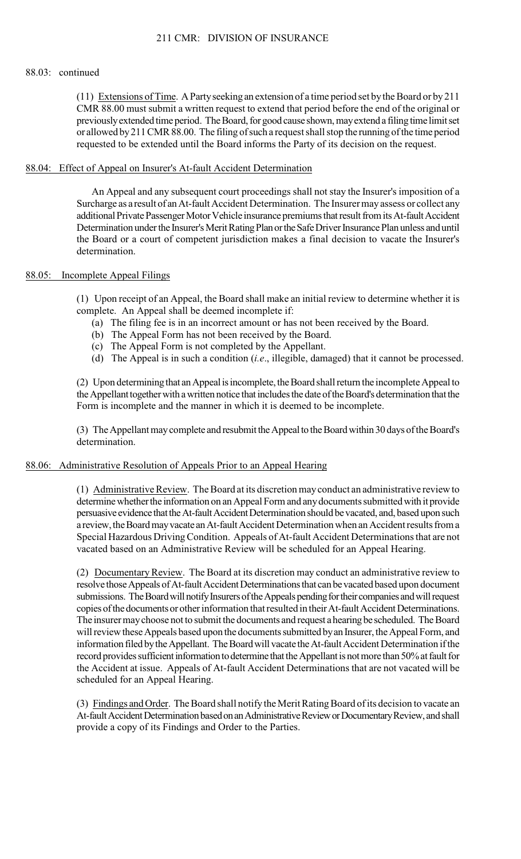### 88.03: continued

(11) Extensions of Time. A Party seeking an extension of a time period set by the Board or by 211 CMR 88.00 must submit a written request to extend that period before the end of the original or previously extended time period. The Board, for good cause shown, may extend a filing time limit set or allowed by 211 CMR 88.00. The filing of such a request shall stop the running of the time period requested to be extended until the Board informs the Party of its decision on the request.

### 88.04: Effect of Appeal on Insurer's At-fault Accident Determination

 the Board or a court of competent jurisdiction makes a final decision to vacate the Insurer's An Appeal and any subsequent court proceedings shall not stay the Insurer's imposition of a Surcharge as a result of an At-fault Accident Determination. The Insurer may assess or collect any additional Private Passenger Motor Vehicle insurance premiums that result from its At-fault Accident Determination under the Insurer's Merit Rating Plan or the Safe Driver Insurance Plan unless and until determination.

## 88.05: Incomplete Appeal Filings

(1) Upon receipt of an Appeal, the Board shall make an initial review to determine whether it is complete. An Appeal shall be deemed incomplete if:

- (a) The filing fee is in an incorrect amount or has not been received by the Board.
- (b) The Appeal Form has not been received by the Board.
- (c) The Appeal Form is not completed by the Appellant.
- (d) The Appeal is in such a condition (*i.e*., illegible, damaged) that it cannot be processed.

(2) Upon determining that an Appeal is incomplete, the Board shall return the incomplete Appeal to the Appellant together with a written notice that includes the date of the Board's determination that the Form is incomplete and the manner in which it is deemed to be incomplete.

(3) The Appellant may complete and resubmit the Appeal to the Board within 30 days of the Board's determination.

### 88.06: Administrative Resolution of Appeals Prior to an Appeal Hearing

 (1) Administrative Review. The Board at its discretion may conduct an administrative review to determine whether the information on an Appeal Form and any documents submitted with it provide persuasive evidence that the At-fault Accident Determination should be vacated, and, based upon such a review, the Board may vacate an At-fault Accident Determination when an Accident results from a Special Hazardous Driving Condition. Appeals of At-fault Accident Determinations that are not vacated based on an Administrative Review will be scheduled for an Appeal Hearing.

(2) Documentary Review. The Board at its discretion may conduct an administrative review to resolve those Appeals of At-fault Accident Determinations that can be vacated based upon document submissions. The Board will notify Insurers of the Appeals pending for their companies and will request copies of the documents or other information that resulted in their At-fault Accident Determinations. The insurer may choose not to submit the documents and request a hearing be scheduled. The Board will review these Appeals based upon the documents submitted by an Insurer, the Appeal Form, and information filed by the Appellant. The Board will vacate the At-fault Accident Determination if the record provides sufficient information to determine that the Appellant is not more than 50% at fault for the Accident at issue. Appeals of At-fault Accident Determinations that are not vacated will be scheduled for an Appeal Hearing.

(3) Findings and Order. The Board shall notify the Merit Rating Board of its decision to vacate an At-fault Accident Determination based on an Administrative Review or Documentary Review, and shall provide a copy of its Findings and Order to the Parties.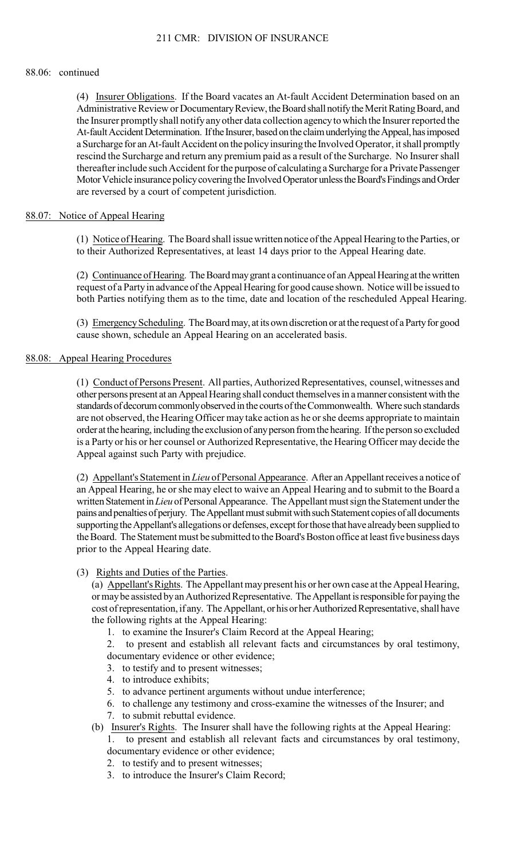### 88.06: continued

(4) Insurer Obligations. If the Board vacates an At-fault Accident Determination based on an Administrative Review or Documentary Review, the Board shall notify the Merit Rating Board, and the Insurer promptly shall notify any other data collection agency to which the Insurer reported the At-fault Accident Determination. If the Insurer, based on the claim underlying the Appeal, has imposed a Surcharge for an At-fault Accident on the policy insuring the Involved Operator, it shall promptly rescind the Surcharge and return any premium paid as a result of the Surcharge. No Insurer shall thereafter include such Accident for the purpose of calculating a Surcharge for a Private Passenger Motor Vehicle insurance policy covering the Involved Operator unless the Board's Findings and Order are reversed by a court of competent jurisdiction.

## 88.07: Notice of Appeal Hearing

(1) Notice of Hearing. The Board shall issue written notice of the Appeal Hearing to the Parties, or to their Authorized Representatives, at least 14 days prior to the Appeal Hearing date.

(2) Continuance of Hearing. The Board may grant a continuance of an Appeal Hearing at the written request of a Party in advance of the Appeal Hearing for good cause shown. Notice will be issued to both Parties notifying them as to the time, date and location of the rescheduled Appeal Hearing.

(3) Emergency Scheduling. The Board may, at its own discretion or at the request of a Party for good cause shown, schedule an Appeal Hearing on an accelerated basis.

### 88.08: Appeal Hearing Procedures

 are not observed, the Hearing Officer may take action as he or she deems appropriate to maintain (1) Conduct of Persons Present. All parties, Authorized Representatives, counsel, witnesses and other persons present at an Appeal Hearing shall conduct themselves in a manner consistent with the standards of decorum commonly observed in the courts of the Commonwealth. Where such standards order at the hearing, including the exclusion of any person from the hearing. If the person so excluded is a Party or his or her counsel or Authorized Representative, the Hearing Officer may decide the Appeal against such Party with prejudice.

(2) Appellant's Statement in *Lieu* of Personal Appearance. After an Appellant receives a notice of an Appeal Hearing, he or she may elect to waive an Appeal Hearing and to submit to the Board a written Statement in *Lieu* of Personal Appearance. The Appellant must sign the Statement under the pains and penalties of perjury. The Appellant must submit with such Statement copies of all documents supporting the Appellant's allegations or defenses, except for those that have already been supplied to the Board. The Statement must be submitted to the Board's Boston office at least five business days prior to the Appeal Hearing date.

# (3) Rights and Duties of the Parties.

(a) Appellant's Rights. The Appellant may present his or her own case at the Appeal Hearing, or may be assisted by an Authorized Representative. The Appellant is responsible for paying the cost of representation, if any. The Appellant, or his or her Authorized Representative, shall have the following rights at the Appeal Hearing:

- 1. to examine the Insurer's Claim Record at the Appeal Hearing;
- 2. to present and establish all relevant facts and circumstances by oral testimony, documentary evidence or other evidence;
- 3. to testify and to present witnesses;
- 4. to introduce exhibits;
- 5. to advance pertinent arguments without undue interference;
- 6. to challenge any testimony and cross-examine the witnesses of the Insurer; and
- 7. to submit rebuttal evidence.
- (b) Insurer's Rights. The Insurer shall have the following rights at the Appeal Hearing:

 1. to present and establish all relevant facts and circumstances by oral testimony, documentary evidence or other evidence;

- 2. to testify and to present witnesses;
- 3. to introduce the Insurer's Claim Record;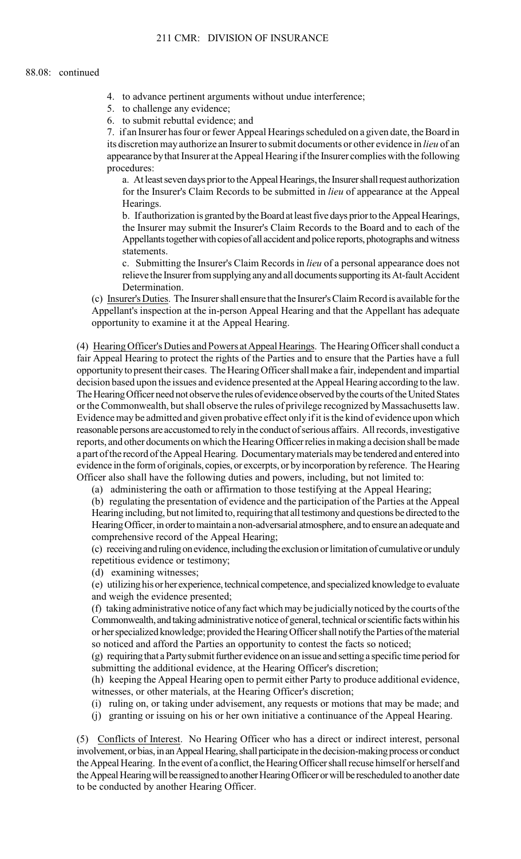- 4. to advance pertinent arguments without undue interference;
- 5. to challenge any evidence;
- 6. to submit rebuttal evidence; and

7. if an Insurer has four or fewer Appeal Hearings scheduled on a given date, the Board in its discretion may authorize an Insurer to submit documents or other evidence in *lieu* of an appearance by that Insurer at the Appeal Hearing if the Insurer complies with the following procedures:

a. At least seven days prior to the Appeal Hearings, the Insurer shall request authorization for the Insurer's Claim Records to be submitted in *lieu* of appearance at the Appeal Hearings.

 the Insurer may submit the Insurer's Claim Records to the Board and to each of the b. If authorization is granted by the Board at least five days prior to the Appeal Hearings, Appellants together with copies of all accident and police reports, photographs and witness statements.

c. Submitting the Insurer's Claim Records in *lieu* of a personal appearance does not relieve the Insurer from supplying any and all documents supporting its At-fault Accident Determination.

(c) Insurer's Duties. The Insurer shall ensure that the Insurer's Claim Record is available for the Appellant's inspection at the in-person Appeal Hearing and that the Appellant has adequate opportunity to examine it at the Appeal Hearing.

 fair Appeal Hearing to protect the rights of the Parties and to ensure that the Parties have a full Evidence may be admitted and given probative effect only if it is the kind of evidence upon which (4) Hearing Officer's Duties and Powers at Appeal Hearings. The Hearing Officer shall conduct a opportunity to present their cases. The Hearing Officer shall make a fair, independent and impartial decision based upon the issues and evidence presented at the Appeal Hearing according to the law. The Hearing Officer need not observe the rules of evidence observed by the courts of the United States or the Commonwealth, but shall observe the rules of privilege recognized by Massachusetts law. reasonable persons are accustomed to rely in the conduct of serious affairs. All records, investigative reports, and other documents on which the Hearing Officer relies in making a decision shall be made a part of the record of the Appeal Hearing. Documentary materials may be tendered and entered into evidence in the form of originals, copies, or excerpts, or by incorporation by reference. The Hearing Officer also shall have the following duties and powers, including, but not limited to:

(a) administering the oath or affirmation to those testifying at the Appeal Hearing;

(b) regulating the presentation of evidence and the participation of the Parties at the Appeal Hearing including, but not limited to, requiring that all testimony and questions be directed to the Hearing Officer, in order to maintain a non-adversarial atmosphere, and to ensure an adequate and comprehensive record of the Appeal Hearing;

(c) receiving and ruling on evidence, including the exclusion or limitation of cumulative or unduly repetitious evidence or testimony;

(d) examining witnesses;

(e) utilizing his or her experience, technical competence, and specialized knowledge to evaluate and weigh the evidence presented;

(f) taking administrative notice of any fact which may be judicially noticed by the courts of the Commonwealth, and taking administrative notice of general, technical or scientific facts within his or her specialized knowledge; provided the Hearing Officer shall notify the Parties of the material so noticed and afford the Parties an opportunity to contest the facts so noticed;

(g) requiring that a Party submit further evidence on an issue and setting a specific time period for submitting the additional evidence, at the Hearing Officer's discretion;

(h) keeping the Appeal Hearing open to permit either Party to produce additional evidence, witnesses, or other materials, at the Hearing Officer's discretion;

- (i) ruling on, or taking under advisement, any requests or motions that may be made; and
- (j) granting or issuing on his or her own initiative a continuance of the Appeal Hearing.

(5) Conflicts of Interest. No Hearing Officer who has a direct or indirect interest, personal involvement, or bias, in an Appeal Hearing, shall participate in the decision-making process or conduct the Appeal Hearing. In the event of a conflict, the Hearing Officer shall recuse himself or herself and the Appeal Hearing will be reassigned to another Hearing Officer or will be rescheduled to another date to be conducted by another Hearing Officer.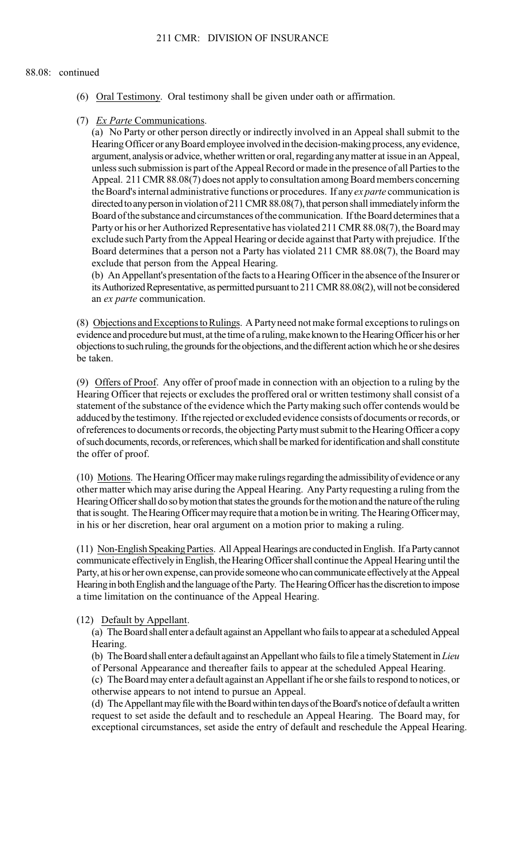#### 88.08: continued

- (6) Oral Testimony. Oral testimony shall be given under oath or affirmation.
- (7) *Ex Parte* Communications.

(a) No Party or other person directly or indirectly involved in an Appeal shall submit to the Hearing Officer or any Board employee involved in the decision-making process, any evidence, argument, analysis or advice, whether written or oral, regarding any matter at issue in an Appeal, unless such submission is part of the Appeal Record or made in the presence of all Parties to the Appeal. 211 CMR 88.08(7) does not apply to consultation among Board members concerning the Board's internal administrative functions or procedures. If any *ex parte* communication is directed to any person in violation of 211 CMR 88.08(7), that person shall immediately inform the Board of the substance and circumstances of the communication. If the Board determines that a Party or his or her Authorized Representative has violated 211 CMR 88.08(7), the Board may exclude such Party from the Appeal Hearing or decide against that Party with prejudice. If the Board determines that a person not a Party has violated 211 CMR 88.08(7), the Board may exclude that person from the Appeal Hearing.

(b) An Appellant's presentation of the facts to a Hearing Officer in the absence of the Insurer or its Authorized Representative, as permitted pursuant to 211 CMR 88.08(2), will not be considered an *ex parte* communication.

(8) Objections and Exceptions to Rulings. A Party need not make formal exceptions to rulings on evidence and procedure but must, at the time of a ruling, make known to the Hearing Officer his or her objections to such ruling, the grounds for the objections, and the different action which he or she desires be taken.

(9) Offers of Proof. Any offer of proof made in connection with an objection to a ruling by the statement of the substance of the evidence which the Party making such offer contends would be Hearing Officer that rejects or excludes the proffered oral or written testimony shall consist of a adduced by the testimony. If the rejected or excluded evidence consists of documents or records, or of references to documents or records, the objecting Party must submit to the Hearing Officer a copy of such documents, records, or references, which shall be marked for identification and shall constitute the offer of proof.

 other matter which may arise during the Appeal Hearing. Any Party requesting a ruling from the (10) Motions. The Hearing Officer may make rulings regarding the admissibility of evidence or any Hearing Officer shall do so by motion that states the grounds for the motion and the nature of the ruling that is sought. The Hearing Officer may require that a motion be in writing. The Hearing Officer may, in his or her discretion, hear oral argument on a motion prior to making a ruling.

(11) Non-English Speaking Parties. All Appeal Hearings are conducted in English. If a Party cannot communicate effectively in English, the Hearing Officer shall continue the Appeal Hearing until the Party, at his or her own expense, can provide someone who can communicate effectively at the Appeal Hearing in both English and the language of the Party. The Hearing Officer has the discretion to impose a time limitation on the continuance of the Appeal Hearing.

### (12) Default by Appellant.

(a) The Board shall enter a default against an Appellant who fails to appear at a scheduled Appeal Hearing.

(b) The Board shall enter a default against an Appellant who fails to file a timely Statement in *Lieu*  of Personal Appearance and thereafter fails to appear at the scheduled Appeal Hearing.

(c) The Board may enter a default against an Appellant if he or she fails to respond to notices, or otherwise appears to not intend to pursue an Appeal.

 request to set aside the default and to reschedule an Appeal Hearing. The Board may, for (d) The Appellant may file with the Board within ten days of the Board's notice of default a written exceptional circumstances, set aside the entry of default and reschedule the Appeal Hearing.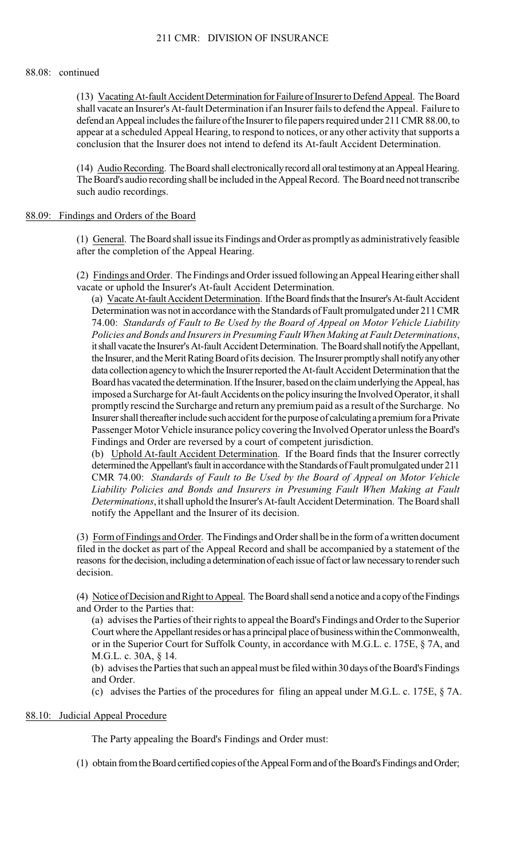### 88.08: continued

 appear at a scheduled Appeal Hearing, to respond to notices, or any other activity that supports a (13) Vacating At-fault Accident Determination for Failure of Insurer to Defend Appeal. The Board shall vacate an Insurer's At-fault Determination if an Insurer fails to defend the Appeal. Failure to defend an Appeal includes the failure of the Insurer to file papers required under 211 CMR 88.00, to conclusion that the Insurer does not intend to defend its At-fault Accident Determination.

(14) Audio Recording. The Board shall electronically record all oral testimony at an Appeal Hearing. The Board's audio recording shall be included in the Appeal Record. The Board need not transcribe such audio recordings.

## 88.09: Findings and Orders of the Board

(1) General. The Board shall issue its Findings and Order as promptly as administratively feasible after the completion of the Appeal Hearing.

(2) Findings and Order. The Findings and Order issued following an Appeal Hearing either shall vacate or uphold the Insurer's At-fault Accident Determination.

(a) Vacate At-fault Accident Determination. If the Board finds that the Insurer's At-fault Accident Determination was not in accordance with the Standards of Fault promulgated under 211 CMR 74.00: *Standards of Fault to Be Used by the Board of Appeal on Motor Vehicle Liability Policies and Bonds and Insurers in Presuming Fault When Making at Fault Determinations*, it shall vacate the Insurer's At-fault Accident Determination. The Board shall notify the Appellant, the Insurer, and the Merit Rating Board of its decision. The Insurer promptly shall notify any other data collection agency to which the Insurer reported the At-fault Accident Determination that the Board has vacated the determination. If the Insurer, based on the claim underlying the Appeal, has imposed a Surcharge for At-fault Accidents on the policy insuring the Involved Operator, it shall promptly rescind the Surcharge and return any premium paid as a result of the Surcharge. No Insurer shall thereafter include such accident for the purpose of calculating a premium for a Private Passenger Motor Vehicle insurance policy covering the Involved Operator unless the Board's Findings and Order are reversed by a court of competent jurisdiction.

(b) Uphold At-fault Accident Determination. If the Board finds that the Insurer correctly determined the Appellant's fault in accordance with the Standards of Fault promulgated under 211 CMR 74.00: *Standards of Fault to Be Used by the Board of Appeal on Motor Vehicle Liability Policies and Bonds and Insurers in Presuming Fault When Making at Fault Determinations*, it shall uphold the Insurer's At-fault Accident Determination. The Board shall notify the Appellant and the Insurer of its decision.

(3) Form of Findings and Order. The Findings and Order shall be in the form of a written document filed in the docket as part of the Appeal Record and shall be accompanied by a statement of the reasons for the decision, including a determination of each issue of fact or law necessary to render such decision.

(4) Notice of Decision and Right to Appeal. The Board shall send a notice and a copy of the Findings and Order to the Parties that:

(a) advises the Parties of their rights to appeal the Board's Findings and Order to the Superior Court where the Appellant resides or has a principal place of business within the Commonwealth, or in the Superior Court for Suffolk County, in accordance with M.G.L. c. 175E, § 7A, and M.G.L. c. 30A, § 14.

(b) advises the Parties that such an appeal must be filed within 30 days of the Board's Findings and Order.

(c) advises the Parties of the procedures for filing an appeal under M.G.L. c. 175E, § 7A.

### 88.10: Judicial Appeal Procedure

The Party appealing the Board's Findings and Order must:

(1) obtain from the Board certified copies of the Appeal Form and of the Board's Findings and Order;